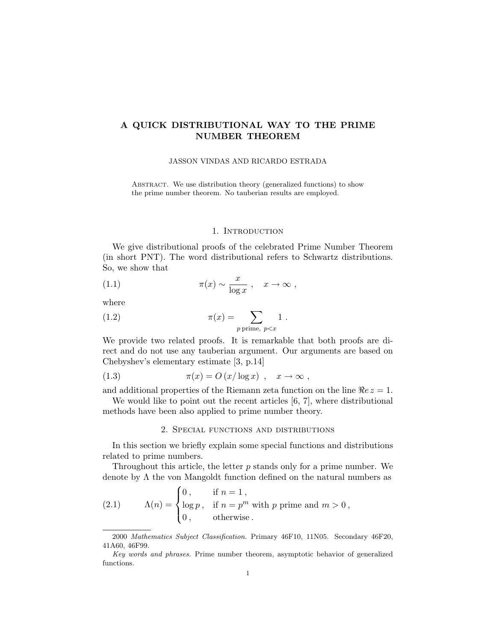# A QUICK DISTRIBUTIONAL WAY TO THE PRIME NUMBER THEOREM

### JASSON VINDAS AND RICARDO ESTRADA

ABSTRACT. We use distribution theory (generalized functions) to show the prime number theorem. No tauberian results are employed.

# 1. INTRODUCTION

We give distributional proofs of the celebrated Prime Number Theorem (in short PNT). The word distributional refers to Schwartz distributions. So, we show that

(1.1) 
$$
\pi(x) \sim \frac{x}{\log x}, \quad x \to \infty,
$$

where

(1.2) 
$$
\pi(x) = \sum_{p \text{ prime, } p < x} 1.
$$

We provide two related proofs. It is remarkable that both proofs are direct and do not use any tauberian argument. Our arguments are based on Chebyshev's elementary estimate [3, p.14]

$$
(1.3) \t\t \pi(x) = O(x/\log x) , \t x \to \infty ,
$$

and additional properties of the Riemann zeta function on the line  $\Re e z = 1$ .

We would like to point out the recent articles [6, 7], where distributional methods have been also applied to prime number theory.

## 2. Special functions and distributions

In this section we briefly explain some special functions and distributions related to prime numbers.

Throughout this article, the letter  $p$  stands only for a prime number. We denote by  $\Lambda$  the von Mangoldt function defined on the natural numbers as

(2.1) 
$$
\Lambda(n) = \begin{cases} 0, & \text{if } n = 1, \\ \log p, & \text{if } n = p^m \text{ with } p \text{ prime and } m > 0, \\ 0, & \text{otherwise.} \end{cases}
$$

<sup>2000</sup> Mathematics Subject Classification. Primary 46F10, 11N05. Secondary 46F20, 41A60, 46F99.

Key words and phrases. Prime number theorem, asymptotic behavior of generalized functions.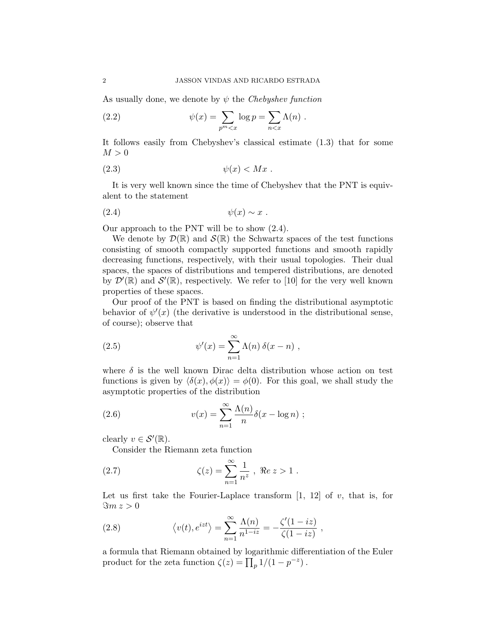As usually done, we denote by  $\psi$  the Chebyshev function

(2.2) 
$$
\psi(x) = \sum_{p^m < x} \log p = \sum_{n < x} \Lambda(n) \; .
$$

It follows easily from Chebyshev's classical estimate (1.3) that for some  $M > 0$ 

$$
(2.3) \t\t\t \psi(x) < Mx .
$$

It is very well known since the time of Chebyshev that the PNT is equivalent to the statement

$$
(2.4) \t\t \psi(x) \sim x .
$$

Our approach to the PNT will be to show (2.4).

We denote by  $\mathcal{D}(\mathbb{R})$  and  $\mathcal{S}(\mathbb{R})$  the Schwartz spaces of the test functions consisting of smooth compactly supported functions and smooth rapidly decreasing functions, respectively, with their usual topologies. Their dual spaces, the spaces of distributions and tempered distributions, are denoted by  $\mathcal{D}'(\mathbb{R})$  and  $\mathcal{S}'(\mathbb{R})$ , respectively. We refer to [10] for the very well known properties of these spaces.

Our proof of the PNT is based on finding the distributional asymptotic behavior of  $\psi'(x)$  (the derivative is understood in the distributional sense, of course); observe that

(2.5) 
$$
\psi'(x) = \sum_{n=1}^{\infty} \Lambda(n) \delta(x - n) ,
$$

where  $\delta$  is the well known Dirac delta distribution whose action on test functions is given by  $\langle \delta(x), \phi(x) \rangle = \phi(0)$ . For this goal, we shall study the asymptotic properties of the distribution

(2.6) 
$$
v(x) = \sum_{n=1}^{\infty} \frac{\Lambda(n)}{n} \delta(x - \log n) ;
$$

clearly  $v \in \mathcal{S}'(\mathbb{R})$ .

Consider the Riemann zeta function

(2.7) 
$$
\zeta(z) = \sum_{n=1}^{\infty} \frac{1}{n^z}, \ \Re z > 1.
$$

Let us first take the Fourier-Laplace transform  $[1, 12]$  of v, that is, for  $\Im m z > 0$ 

(2.8) 
$$
\langle v(t), e^{izt} \rangle = \sum_{n=1}^{\infty} \frac{\Lambda(n)}{n^{1-iz}} = -\frac{\zeta'(1-iz)}{\zeta(1-iz)},
$$

a formula that Riemann obtained by logarithmic differentiation of the Euler product for the zeta function  $\zeta(z) = \prod_p 1/(1 - p^{-z})$ .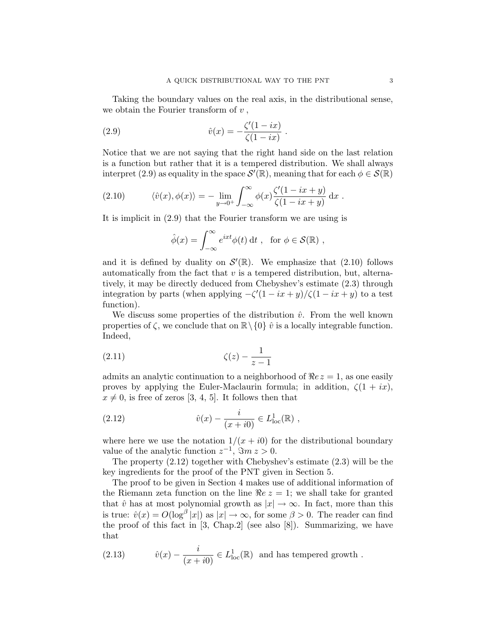Taking the boundary values on the real axis, in the distributional sense, we obtain the Fourier transform of  $v$ ,

(2.9) 
$$
\hat{v}(x) = -\frac{\zeta'(1 - ix)}{\zeta(1 - ix)}.
$$

Notice that we are not saying that the right hand side on the last relation is a function but rather that it is a tempered distribution. We shall always interpret (2.9) as equality in the space  $\mathcal{S}'(\mathbb{R})$ , meaning that for each  $\phi \in \mathcal{S}(\mathbb{R})$ 

(2.10) 
$$
\langle \hat{v}(x), \phi(x) \rangle = - \lim_{y \to 0^+} \int_{-\infty}^{\infty} \phi(x) \frac{\zeta'(1 - ix + y)}{\zeta(1 - ix + y)} dx.
$$

It is implicit in (2.9) that the Fourier transform we are using is

$$
\hat{\phi}(x) = \int_{-\infty}^{\infty} e^{ixt} \phi(t) dt , \text{ for } \phi \in \mathcal{S}(\mathbb{R}) ,
$$

and it is defined by duality on  $\mathcal{S}'(\mathbb{R})$ . We emphasize that (2.10) follows automatically from the fact that  $v$  is a tempered distribution, but, alternatively, it may be directly deduced from Chebyshev's estimate (2.3) through integration by parts (when applying  $-\zeta'(1 - ix + y)/\zeta(1 - ix + y)$  to a test function).

We discuss some properties of the distribution  $\hat{v}$ . From the well known properties of  $\zeta$ , we conclude that on  $\mathbb{R}\setminus\{0\}$   $\hat{v}$  is a locally integrable function. Indeed,

(2.11) 
$$
\zeta(z) - \frac{1}{z-1}
$$

admits an analytic continuation to a neighborhood of  $\Re e z = 1$ , as one easily proves by applying the Euler-Maclaurin formula; in addition,  $\zeta(1 + ix)$ ,  $x \neq 0$ , is free of zeros [3, 4, 5]. It follows then that

(2.12) 
$$
\hat{v}(x) - \frac{i}{(x+i0)} \in L^{1}_{loc}(\mathbb{R}),
$$

where here we use the notation  $1/(x + i0)$  for the distributional boundary value of the analytic function  $z^{-1}$ ,  $\Im m z > 0$ .

The property (2.12) together with Chebyshev's estimate (2.3) will be the key ingredients for the proof of the PNT given in Section 5.

The proof to be given in Section 4 makes use of additional information of the Riemann zeta function on the line  $Re z = 1$ ; we shall take for granted that  $\hat{v}$  has at most polynomial growth as  $|x| \to \infty$ . In fact, more than this is true:  $\hat{v}(x) = O(\log^{\beta} |x|)$  as  $|x| \to \infty$ , for some  $\beta > 0$ . The reader can find the proof of this fact in [3, Chap.2] (see also [8]). Summarizing, we have that

(2.13) 
$$
\hat{v}(x) - \frac{i}{(x+i0)} \in L^1_{loc}(\mathbb{R})
$$
 and has tempered growth.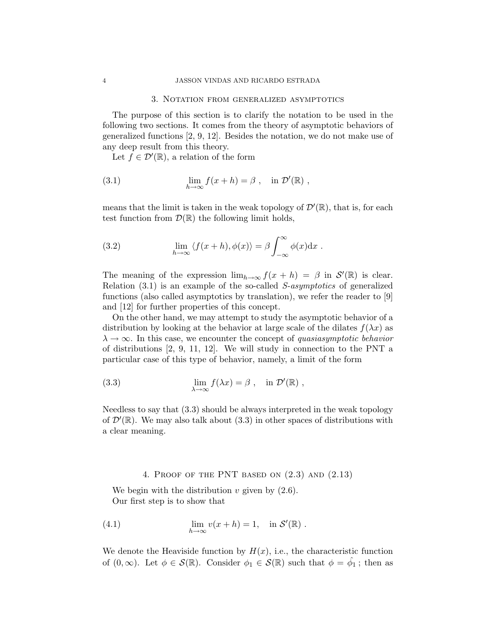#### 3. Notation from generalized asymptotics

The purpose of this section is to clarify the notation to be used in the following two sections. It comes from the theory of asymptotic behaviors of generalized functions [2, 9, 12]. Besides the notation, we do not make use of any deep result from this theory.

Let  $f \in \mathcal{D}'(\mathbb{R})$ , a relation of the form

(3.1) 
$$
\lim_{h \to \infty} f(x+h) = \beta , \text{ in } \mathcal{D}'(\mathbb{R}) ,
$$

means that the limit is taken in the weak topology of  $\mathcal{D}'(\mathbb{R})$ , that is, for each test function from  $\mathcal{D}(\mathbb{R})$  the following limit holds,

(3.2) 
$$
\lim_{h \to \infty} \langle f(x+h), \phi(x) \rangle = \beta \int_{-\infty}^{\infty} \phi(x) dx.
$$

The meaning of the expression  $\lim_{h\to\infty} f(x+h) = \beta$  in  $\mathcal{S}'(\mathbb{R})$  is clear. Relation (3.1) is an example of the so-called S-asymptotics of generalized functions (also called asymptotics by translation), we refer the reader to [9] and [12] for further properties of this concept.

On the other hand, we may attempt to study the asymptotic behavior of a distribution by looking at the behavior at large scale of the dilates  $f(\lambda x)$  as  $\lambda \to \infty$ . In this case, we encounter the concept of quasiasymptotic behavior of distributions [2, 9, 11, 12]. We will study in connection to the PNT a particular case of this type of behavior, namely, a limit of the form

(3.3) 
$$
\lim_{\lambda \to \infty} f(\lambda x) = \beta , \quad \text{in } \mathcal{D}'(\mathbb{R}) ,
$$

Needless to say that (3.3) should be always interpreted in the weak topology of  $\mathcal{D}'(\mathbb{R})$ . We may also talk about (3.3) in other spaces of distributions with a clear meaning.

# 4. Proof of the PNT based on (2.3) and (2.13)

We begin with the distribution  $v$  given by  $(2.6)$ . Our first step is to show that

(4.1) 
$$
\lim_{h \to \infty} v(x+h) = 1, \text{ in } \mathcal{S}'(\mathbb{R}).
$$

We denote the Heaviside function by  $H(x)$ , i.e., the characteristic function of  $(0, \infty)$ . Let  $\phi \in \mathcal{S}(\mathbb{R})$ . Consider  $\phi_1 \in \mathcal{S}(\mathbb{R})$  such that  $\phi = \hat{\phi}_1$ ; then as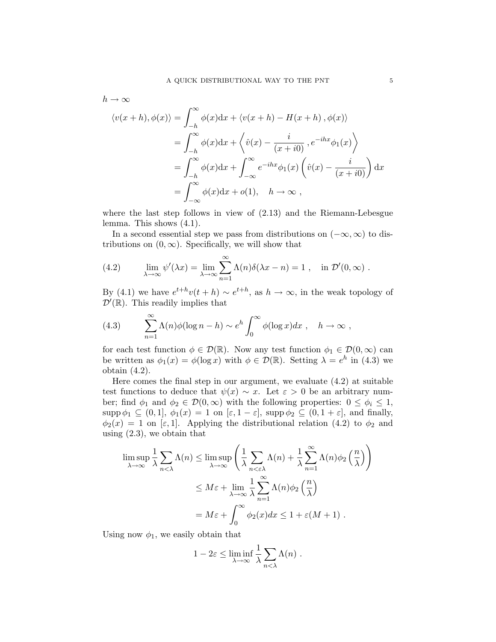$$
h \to \infty
$$
  

$$
\langle v(x+h), \phi(x) \rangle = \int_{-h}^{\infty} \phi(x) dx + \langle v(x+h) - H(x+h), \phi(x) \rangle
$$
  

$$
= \int_{-h}^{\infty} \phi(x) dx + \langle \hat{v}(x) - \frac{i}{(x+i0)}, e^{-ihx} \phi_1(x) \rangle
$$
  

$$
= \int_{-h}^{\infty} \phi(x) dx + \int_{-\infty}^{\infty} e^{-ihx} \phi_1(x) \left( \hat{v}(x) - \frac{i}{(x+i0)} \right) dx
$$
  

$$
= \int_{-\infty}^{\infty} \phi(x) dx + o(1), \quad h \to \infty,
$$

where the last step follows in view of (2.13) and the Riemann-Lebesgue lemma. This shows (4.1).

In a second essential step we pass from distributions on  $(-\infty, \infty)$  to distributions on  $(0, \infty)$ . Specifically, we will show that

(4.2) 
$$
\lim_{\lambda \to \infty} \psi'(\lambda x) = \lim_{\lambda \to \infty} \sum_{n=1}^{\infty} \Lambda(n) \delta(\lambda x - n) = 1, \text{ in } \mathcal{D}'(0, \infty).
$$

By (4.1) we have  $e^{t+h}v(t+h) \sim e^{t+h}$ , as  $h \to \infty$ , in the weak topology of  $\mathcal{D}'(\mathbb{R})$ . This readily implies that

(4.3) 
$$
\sum_{n=1}^{\infty} \Lambda(n)\phi(\log n - h) \sim e^{h} \int_{0}^{\infty} \phi(\log x) dx, \quad h \to \infty,
$$

for each test function  $\phi \in \mathcal{D}(\mathbb{R})$ . Now any test function  $\phi_1 \in \mathcal{D}(0,\infty)$  can be written as  $\phi_1(x) = \phi(\log x)$  with  $\phi \in \mathcal{D}(\mathbb{R})$ . Setting  $\lambda = e^h$  in (4.3) we obtain (4.2).

Here comes the final step in our argument, we evaluate (4.2) at suitable test functions to deduce that  $\psi(x) \sim x$ . Let  $\varepsilon > 0$  be an arbitrary number; find  $\phi_1$  and  $\phi_2 \in \mathcal{D}(0,\infty)$  with the following properties:  $0 \leq \phi_i \leq 1$ ,  $\text{supp }\phi_1 \subseteq (0,1], \phi_1(x) = 1 \text{ on } [\varepsilon, 1-\varepsilon], \text{ supp }\phi_2 \subseteq (0,1+\varepsilon], \text{ and finally,}$  $\phi_2(x) = 1$  on [ε, 1]. Applying the distributional relation (4.2) to  $\phi_2$  and using  $(2.3)$ , we obtain that

$$
\limsup_{\lambda \to \infty} \frac{1}{\lambda} \sum_{n < \lambda} \Lambda(n) \le \limsup_{\lambda \to \infty} \left( \frac{1}{\lambda} \sum_{n < \varepsilon \lambda} \Lambda(n) + \frac{1}{\lambda} \sum_{n=1}^{\infty} \Lambda(n) \phi_2 \left( \frac{n}{\lambda} \right) \right)
$$
  

$$
\le M\varepsilon + \lim_{\lambda \to \infty} \frac{1}{\lambda} \sum_{n=1}^{\infty} \Lambda(n) \phi_2 \left( \frac{n}{\lambda} \right)
$$
  

$$
= M\varepsilon + \int_0^{\infty} \phi_2(x) dx \le 1 + \varepsilon(M + 1).
$$

Using now  $\phi_1,$  we easily obtain that

$$
1 - 2\varepsilon \le \liminf_{\lambda \to \infty} \frac{1}{\lambda} \sum_{n < \lambda} \Lambda(n) .
$$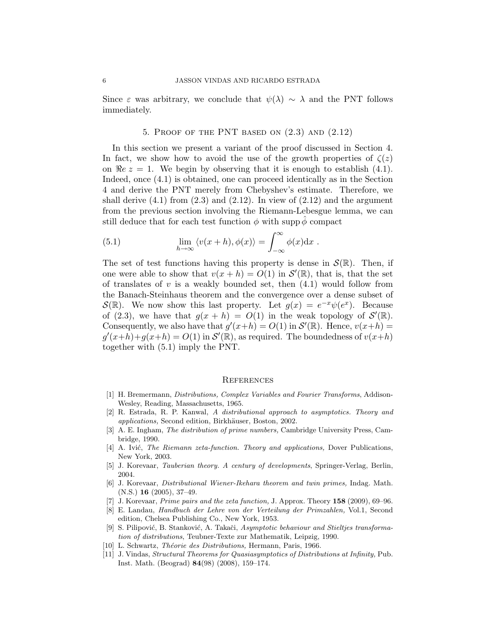Since  $\varepsilon$  was arbitrary, we conclude that  $\psi(\lambda) \sim \lambda$  and the PNT follows immediately.

## 5. PROOF OF THE PNT BASED ON  $(2.3)$  AND  $(2.12)$

In this section we present a variant of the proof discussed in Section 4. In fact, we show how to avoid the use of the growth properties of  $\zeta(z)$ on  $\Re e \, z = 1$ . We begin by observing that it is enough to establish (4.1). Indeed, once (4.1) is obtained, one can proceed identically as in the Section 4 and derive the PNT merely from Chebyshev's estimate. Therefore, we shall derive  $(4.1)$  from  $(2.3)$  and  $(2.12)$ . In view of  $(2.12)$  and the argument from the previous section involving the Riemann-Lebesgue lemma, we can still deduce that for each test function  $\phi$  with supp  $\phi$  compact

(5.1) 
$$
\lim_{h \to \infty} \langle v(x+h), \phi(x) \rangle = \int_{-\infty}^{\infty} \phi(x) dx.
$$

The set of test functions having this property is dense in  $\mathcal{S}(\mathbb{R})$ . Then, if one were able to show that  $v(x+h) = O(1)$  in  $\mathcal{S}'(\mathbb{R})$ , that is, that the set of translates of  $v$  is a weakly bounded set, then  $(4.1)$  would follow from the Banach-Steinhaus theorem and the convergence over a dense subset of  $\mathcal{S}(\mathbb{R})$ . We now show this last property. Let  $g(x) = e^{-x}\psi(e^x)$ . Because of (2.3), we have that  $g(x+h) = O(1)$  in the weak topology of  $\mathcal{S}'(\mathbb{R})$ . Consequently, we also have that  $g'(x+h) = O(1)$  in  $\mathcal{S}'(\mathbb{R})$ . Hence,  $v(x+h) =$  $g'(x+h)+g(x+h) = O(1)$  in  $\mathcal{S}'(\mathbb{R})$ , as required. The boundedness of  $v(x+h)$ together with (5.1) imply the PNT.

#### **REFERENCES**

- [1] H. Bremermann, Distributions, Complex Variables and Fourier Transforms, Addison-Wesley, Reading, Massachusetts, 1965.
- [2] R. Estrada, R. P. Kanwal, A distributional approach to asymptotics. Theory and applications, Second edition, Birkhäuser, Boston, 2002.
- [3] A. E. Ingham, The distribution of prime numbers, Cambridge University Press, Cambridge, 1990.
- [4] A. Ivić, *The Riemann zeta-function. Theory and applications*, Dover Publications, New York, 2003.
- [5] J. Korevaar, Tauberian theory. A century of developments, Springer-Verlag, Berlin, 2004.
- [6] J. Korevaar, Distributional Wiener-Ikehara theorem and twin primes, Indag. Math.  $(N.S.)$  16  $(2005), 37-49.$
- [7] J. Korevaar, *Prime pairs and the zeta function*, J. Approx. Theory **158** (2009), 69–96.
- [8] E. Landau, Handbuch der Lehre von der Verteilung der Primzahlen, Vol.1, Second edition, Chelsea Publishing Co., New York, 1953.
- [9] S. Pilipović, B. Stanković, A. Takači, Asymptotic behaviour and Stieltjes transformation of distributions, Teubner-Texte zur Mathematik, Leipzig, 1990.
- [10] L. Schwartz, *Théorie des Distributions*, Hermann, Paris, 1966.
- [11] J. Vindas, Structural Theorems for Quasiasymptotics of Distributions at Infinity, Pub. Inst. Math. (Beograd) 84(98) (2008), 159–174.